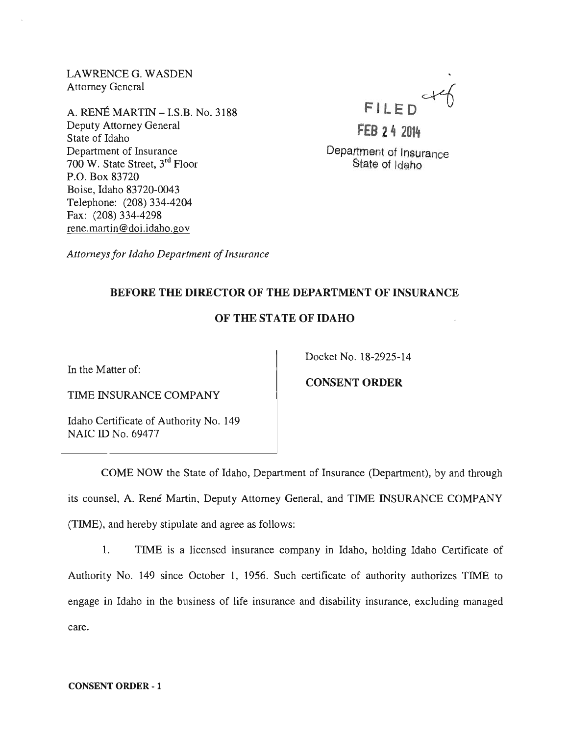LAWRENCEG. WASDEN Attorney General

A. RENE MARTIN -I.S.B. No. 3188 Deputy Attorney General State of Idaho Department of Insurance 700 W. State Street, 3rd Floor P.O. Box 83720 Boise, Idaho 83720-0043 Telephone: (208) 334-4204 Fax: (208) 334-4298 rene.martin@doi.idaho.gov

FILED

**FEB 24 2014**  Department of Insurance

State of Idaho

*Attorneys for Idaho Department of Insurance* 

# BEFORE THE DIRECTOR OF THE DEPARTMENT OF INSURANCE

# OF THE STATE OF IDAHO

In the Matter of:

Docket No. 18-2925-14

TIME INSURANCE COMPANY

Idaho Certificate of Authority No. 149 NAIC ID No. 69477

CONSENT ORDER

COME NOW the State of Idaho, Department of Insurance (Department), by and through its counsel, A. René Martin, Deputy Attorney General, and TIME INSURANCE COMPANY (TIME), and hereby stipulate and agree as follows:

1. TIME is a licensed insurance company in Idaho, holding Idaho Certificate of Authority No. 149 since October 1, 1956. Such certificate of authority authorizes TIME to engage in Idaho in the business of life insurance and disability insurance, excluding managed care.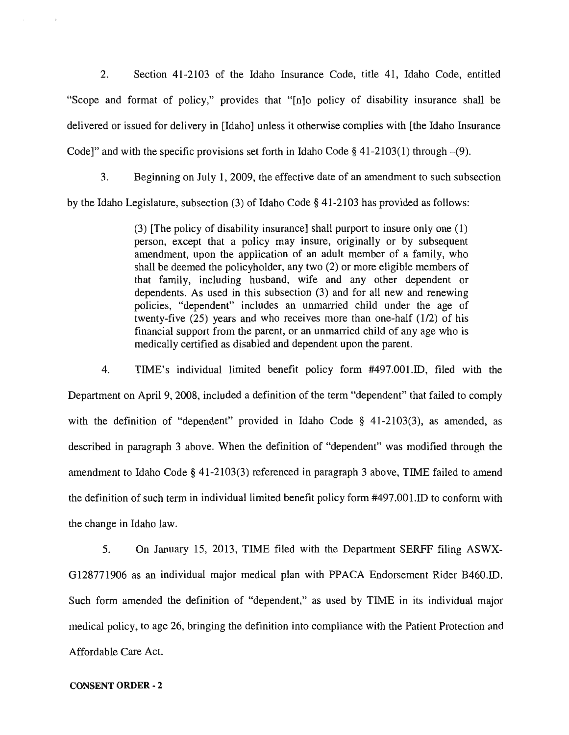2. Section 41-2103 of the Idaho Insurance Code, title 41, Idaho Code, entitled "Scope and format of policy," provides that "[n]o policy of disability insurance shall be delivered or issued for delivery in [Idaho] unless it otherwise complies with [the Idaho Insurance Code]" and with the specific provisions set forth in Idaho Code  $\S$  41-2103(1) through  $-(9)$ .

3. Beginning on July 1,2009, the effective date of an amendment to such subsection by the Idaho Legislature, subsection (3) of Idaho Code § 41-2103 has provided as follows:

> (3) [The policy of disability insurance] shall purport to insure only one (1) person, except that a policy may insure, originally or by subsequent amendment, upon the application of an adult member of a family, who shall be deemed the policyholder, any two (2) or more eligible members of that family, including husband, wife and any other dependent or dependents. As used in this subsection (3) and for all new and renewing policies, "dependent" includes an unmarried child under the age of twenty-five (25) years and who receives more than one-half (1/2) of his financial support from the parent, or an unmarried child of any age who is medically certified as disabled and dependent upon the parent.

4. TIME's individual limited benefit policy form #497.001.ID, filed with the Department on April 9, 2008, included a definition of the term "dependent" that failed to comply with the definition of "dependent" provided in Idaho Code § 41-2103(3), as amended, as described in paragraph 3 above. When the definition of "dependent" was modified through the amendment to Idaho Code § 41-2103(3) referenced in paragraph 3 above, TIME failed to amend the definition of such term in individual limited benefit policy form #497.00 LID to conform with the change in Idaho law.

5. On January 15, 2013, TIME filed with the Department SERFF filing ASWX-0128771906 as an individual major medical plan with PPACA Endorsement Rider B460.ID. Such form amended the definition of "dependent," as used by TIME in its individual major medical policy, to age 26, bringing the definition into compliance with the Patient Protection and Affordable Care Act.

### CONSENT **ORDER·** 2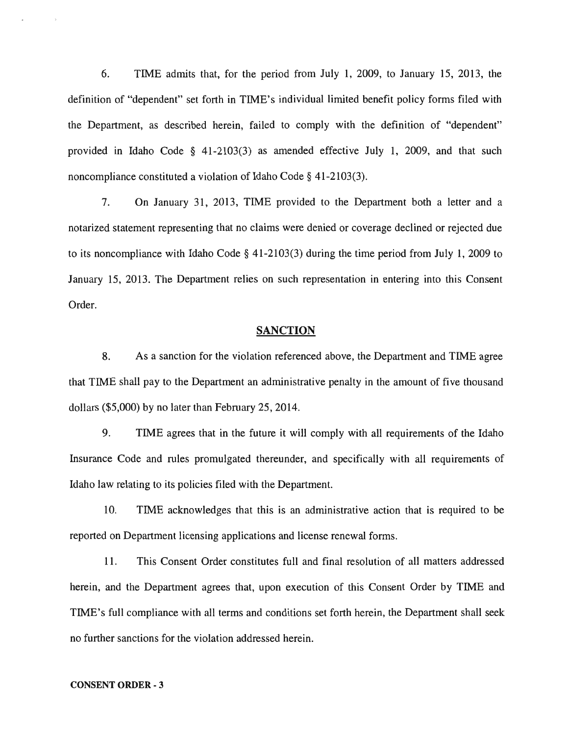6. TIME admits that, for the period from July 1, 2009, to January 15, 2013, the definition of "dependent" set forth in TIME's individual limited benefit policy forms filed with the Department, as described herein, failed to comply with the definition of "dependent" provided in Idaho Code § 41-2103(3) as amended effective July 1, 2009, and that such noncompliance constituted a violation of Idaho Code § 41-2103(3).

7. On January 31, 2013, TIME provided to the Department both a letter and a notarized statement representing that no claims were denied or coverage declined or rejected due to its noncompliance with Idaho Code § 41-2103(3) during the time period from July 1,2009 to January 15, 2013. The Department relies on such representation in entering into this Consent Order.

### **SANCTION**

8. As a sanction for the violation referenced above, the Department and TIME agree that TIME shall pay to the Department an administrative penalty in the amount of five thousand dollars (\$5,000) by no later than February 25,2014.

9. TIME agrees that in the future it will comply with all requirements of the Idaho Insurance Code and rules promulgated thereunder, and specifically with all requirements of Idaho law relating to its policies filed with the Department.

10. TIME acknowledges that this is an administrative action that is required to be reported on Department licensing applications and license renewal forms.

11. This Consent Order constitutes full and final resolution of all matters addressed herein, and the Department agrees that, upon execution of this Consent Order by TIME and TIME's full compliance with all terms and conditions set forth herein, the Department shall seek no further sanctions for the violation addressed herein.

#### CONSENT ORDER - 3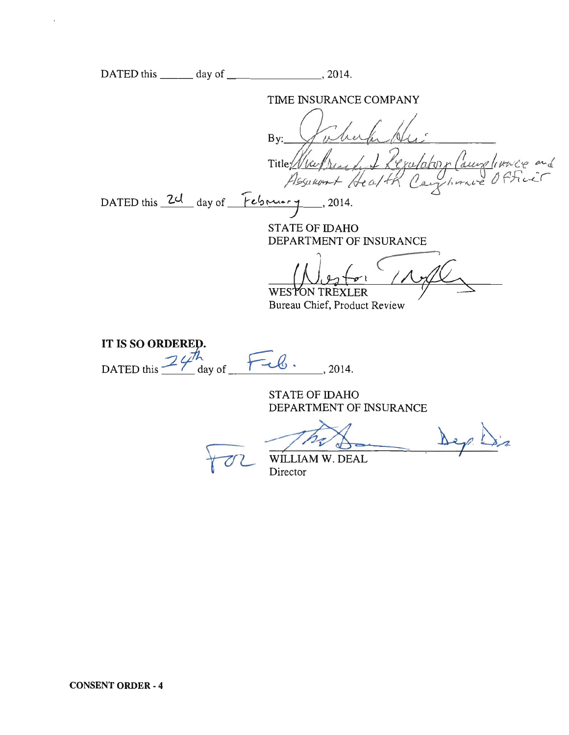|                                         | TIME INSURANCE COMPANY                                              |
|-----------------------------------------|---------------------------------------------------------------------|
|                                         | By:<br>Legatatory Cause Trace and<br>Title (Nac)<br>Assurant Health |
| DATED this 24 day of February, 2014.    |                                                                     |
|                                         | <b>STATE OF IDAHO</b><br>DEPARTMENT OF INSURANCE                    |
|                                         | <b>WESTON TREXLER</b><br>Bureau Chief, Product Review               |
| IT IS SO ORDERED.                       |                                                                     |
| $24$ <sup>th</sup> day of<br>DATED this | .2014.                                                              |
|                                         | <b>STATE OF IDAHO</b><br>DEPARTMENT OF INSURANCE                    |
|                                         | WILLIAM W. DEAL<br>Director                                         |
|                                         |                                                                     |
|                                         |                                                                     |
|                                         |                                                                     |
|                                         |                                                                     |
|                                         |                                                                     |

 $\bar{\mathbf{x}}$